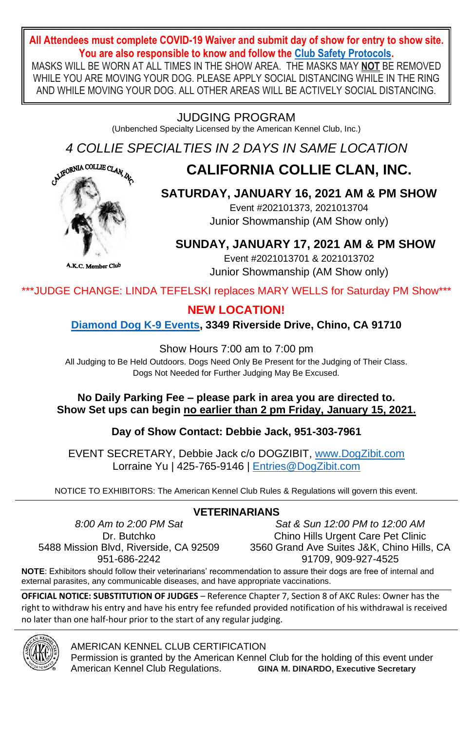#### **All Attendees must complete COVID-19 Waiver and submit day of show for entry to show site. You are also responsible to know and follow th[e Club Safety Protocols.](https://dogzibit.com/wp-content/uploads/2020/10/Collie-Health-Guidelines.pdf)**

MASKS WILL BE WORN AT ALL TIMES IN THE SHOW AREA. THE MASKS MAY **NOT** BE REMOVED WHILE YOU ARE MOVING YOUR DOG. PLEASE APPLY SOCIAL DISTANCING WHILE IN THE RING AND WHILE MOVING YOUR DOG. ALL OTHER AREAS WILL BE ACTIVELY SOCIAL DISTANCING.

### JUDGING PROGRAM

(Unbenched Specialty Licensed by the American Kennel Club, Inc.)

*4 COLLIE SPECIALTIES IN 2 DAYS IN SAME LOCATION*

# **CALIFORNIA COLLIE CLAN, INC.**



## **SATURDAY, JANUARY 16, 2021 AM & PM SHOW**

Event #202101373, 2021013704 Junior Showmanship (AM Show only)

## **SUNDAY, JANUARY 17, 2021 AM & PM SHOW**

Event #2021013701 & 2021013702 Junior Showmanship (AM Show only)

\*\*\*JUDGE CHANGE: LINDA TEFELSKI replaces MARY WELLS for Saturday PM Show\*\*\*

### **NEW LOCATION!**

**[Diamond Dog K-9 Events,](https://m.facebook.com/Diamond-Dogs-K9-Events-1144719635545040/) 3349 Riverside Drive, Chino, CA 91710**

Show Hours 7:00 am to 7:00 pm

All Judging to Be Held Outdoors. Dogs Need Only Be Present for the Judging of Their Class. Dogs Not Needed for Further Judging May Be Excused.

#### **No Daily Parking Fee – please park in area you are directed to. Show Set ups can begin no earlier than 2 pm Friday, January 15, 2021.**

### **Day of Show Contact: Debbie Jack, 951-303-7961**

EVENT SECRETARY, Debbie Jack c/o DOGZIBIT[, www.DogZibit.com](http://www.dogzibit.com/) Lorraine Yu | 425-765-9146 [| Entries@DogZibit.com](mailto:Entries@DogZibit.com)

NOTICE TO EXHIBITORS: The American Kennel Club Rules & Regulations will govern this event.

*8:00 Am to 2:00 PM Sat* Dr. Butchko 5488 Mission Blvd, Riverside, CA 92509 951-686-2242

*Sat & Sun 12:00 PM to 12:00 AM* Chino Hills Urgent Care Pet Clinic 3560 Grand Ave Suites J&K, Chino Hills, CA 91709, 909-927-4525

**NOTE**: Exhibitors should follow their veterinarians' recommendation to assure their dogs are free of internal and external parasites, any communicable diseases, and have appropriate vaccinations.

**OFFICIAL NOTICE: SUBSTITUTION OF JUDGES** – Reference Chapter 7, Section 8 of AKC Rules: Owner has the right to withdraw his entry and have his entry fee refunded provided notification of his withdrawal is received no later than one half-hour prior to the start of any regular judging.



AMERICAN KENNEL CLUB CERTIFICATION

Permission is granted by the American Kennel Club for the holding of this event under American Kennel Club Regulations. **GINA M. DINARDO, Executive Secretary**

### **VETERINARIANS**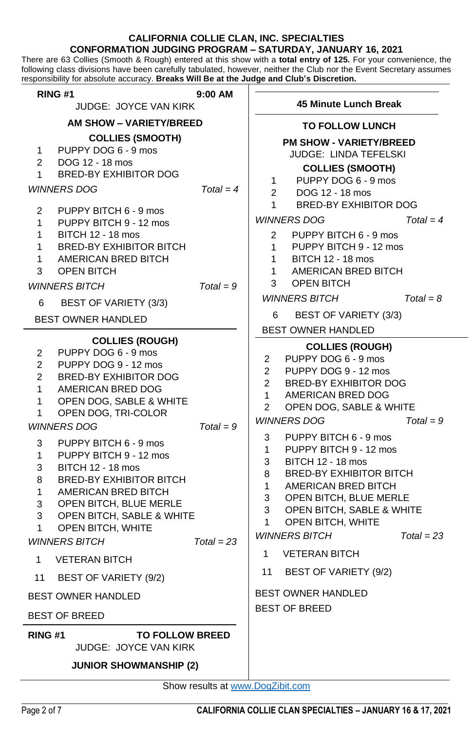#### **CALIFORNIA COLLIE CLAN, INC. SPECIALTIES CONFORMATION JUDGING PROGRAM – SATURDAY, JANUARY 16, 2021**

There are 63 Collies (Smooth & Rough) entered at this show with a **total entry of 125.** For your convenience, the following class divisions have been carefully tabulated, however, neither the Club nor the Event Secretary assumes responsibility for absolute accuracy. **Breaks Will Be at the Judge and Club's Discretion.**

| <b>RING #1</b>                                                                                                                                                                                                                                                                                                                                                                                                                                                                                                                               | $9:00$ AM                   |                                                                                                                                                              |                                                                                                                                                                                                                                                                                                                                                                                                                                                      |                             |
|----------------------------------------------------------------------------------------------------------------------------------------------------------------------------------------------------------------------------------------------------------------------------------------------------------------------------------------------------------------------------------------------------------------------------------------------------------------------------------------------------------------------------------------------|-----------------------------|--------------------------------------------------------------------------------------------------------------------------------------------------------------|------------------------------------------------------------------------------------------------------------------------------------------------------------------------------------------------------------------------------------------------------------------------------------------------------------------------------------------------------------------------------------------------------------------------------------------------------|-----------------------------|
| <b>JUDGE: JOYCE VAN KIRK</b>                                                                                                                                                                                                                                                                                                                                                                                                                                                                                                                 |                             | 45 Minute Lunch Break                                                                                                                                        |                                                                                                                                                                                                                                                                                                                                                                                                                                                      |                             |
| <b>AM SHOW - VARIETY/BREED</b>                                                                                                                                                                                                                                                                                                                                                                                                                                                                                                               |                             |                                                                                                                                                              | <b>TO FOLLOW LUNCH</b>                                                                                                                                                                                                                                                                                                                                                                                                                               |                             |
| <b>COLLIES (SMOOTH)</b><br>PUPPY DOG 6 - 9 mos<br>1<br>2<br>DOG 12 - 18 mos<br><b>BRED-BY EXHIBITOR DOG</b><br>1<br><b>WINNERS DOG</b>                                                                                                                                                                                                                                                                                                                                                                                                       | $Total = 4$                 | $\mathbf{1}$<br>$\overline{2}$                                                                                                                               | <b>PM SHOW - VARIETY/BREED</b><br>JUDGE: LINDA TEFELSKI<br><b>COLLIES (SMOOTH)</b><br>PUPPY DOG 6 - 9 mos<br>DOG 12 - 18 mos                                                                                                                                                                                                                                                                                                                         |                             |
| 2<br>PUPPY BITCH 6 - 9 mos<br>1<br>PUPPY BITCH 9 - 12 mos<br>1<br><b>BITCH 12 - 18 mos</b><br>1<br><b>BRED-BY EXHIBITOR BITCH</b><br>AMERICAN BRED BITCH<br>1<br>3<br><b>OPEN BITCH</b><br><b>WINNERS BITCH</b><br>BEST OF VARIETY (3/3)<br>6                                                                                                                                                                                                                                                                                                | $Total = 9$                 | 1<br>$\overline{2}$<br>$\mathbf{1}$<br>$1 \quad$<br>1<br>3                                                                                                   | <b>BRED-BY EXHIBITOR DOG</b><br><b>WINNERS DOG</b><br>PUPPY BITCH 6 - 9 mos<br>PUPPY BITCH 9 - 12 mos<br><b>BITCH 12 - 18 mos</b><br>AMERICAN BRED BITCH<br><b>OPEN BITCH</b><br><b>WINNERS BITCH</b>                                                                                                                                                                                                                                                | $Total = 4$<br>$Total = 8$  |
| <b>BEST OWNER HANDLED</b>                                                                                                                                                                                                                                                                                                                                                                                                                                                                                                                    |                             | 6                                                                                                                                                            | BEST OF VARIETY (3/3)                                                                                                                                                                                                                                                                                                                                                                                                                                |                             |
| <b>COLLIES (ROUGH)</b><br>PUPPY DOG 6 - 9 mos<br>2<br>PUPPY DOG 9 - 12 mos<br>2<br>$\overline{2}$<br><b>BRED-BY EXHIBITOR DOG</b><br>1<br>AMERICAN BRED DOG<br>OPEN DOG, SABLE & WHITE<br>1<br>OPEN DOG, TRI-COLOR<br>1<br><b>WINNERS DOG</b><br>PUPPY BITCH 6 - 9 mos<br>3<br>PUPPY BITCH 9 - 12 mos<br>1<br><b>BITCH 12 - 18 mos</b><br>3<br><b>BRED-BY EXHIBITOR BITCH</b><br>8<br>AMERICAN BRED BITCH<br>1<br>OPEN BITCH, BLUE MERLE<br>3<br>3<br>OPEN BITCH, SABLE & WHITE<br>OPEN BITCH, WHITE<br>$\mathbf{1}$<br><b>WINNERS BITCH</b> | $Total = 9$<br>$Total = 23$ | $\overline{2}$<br>$\overline{2}$<br>$\overline{2}$<br>$\mathbf{1}$<br>$\overline{2}$<br>3<br>$\mathbf{1}$<br>3<br>8<br>$\mathbf{1}$<br>3<br>3<br>$\mathbf 1$ | <b>BEST OWNER HANDLED</b><br><b>COLLIES (ROUGH)</b><br>PUPPY DOG 6 - 9 mos<br>PUPPY DOG 9 - 12 mos<br><b>BRED-BY EXHIBITOR DOG</b><br>AMERICAN BRED DOG<br>OPEN DOG, SABLE & WHITE<br><b>WINNERS DOG</b><br>PUPPY BITCH 6 - 9 mos<br>PUPPY BITCH 9 - 12 mos<br><b>BITCH 12 - 18 mos</b><br><b>BRED-BY EXHIBITOR BITCH</b><br>AMERICAN BRED BITCH<br>OPEN BITCH, BLUE MERLE<br>OPEN BITCH, SABLE & WHITE<br>OPEN BITCH, WHITE<br><b>WINNERS BITCH</b> | $Total = 9$<br>$Total = 23$ |
| 1<br><b>VETERAN BITCH</b>                                                                                                                                                                                                                                                                                                                                                                                                                                                                                                                    |                             | $\mathbf{1}$                                                                                                                                                 | <b>VETERAN BITCH</b>                                                                                                                                                                                                                                                                                                                                                                                                                                 |                             |
| BEST OF VARIETY (9/2)<br>11                                                                                                                                                                                                                                                                                                                                                                                                                                                                                                                  |                             | 11                                                                                                                                                           | <b>BEST OF VARIETY (9/2)</b>                                                                                                                                                                                                                                                                                                                                                                                                                         |                             |
| BEST OWNER HANDLED                                                                                                                                                                                                                                                                                                                                                                                                                                                                                                                           |                             |                                                                                                                                                              | <b>BEST OWNER HANDLED</b>                                                                                                                                                                                                                                                                                                                                                                                                                            |                             |
| <b>BEST OF BREED</b>                                                                                                                                                                                                                                                                                                                                                                                                                                                                                                                         |                             |                                                                                                                                                              | <b>BEST OF BREED</b>                                                                                                                                                                                                                                                                                                                                                                                                                                 |                             |
| <b>TO FOLLOW BREED</b><br>RING #1<br>JUDGE: JOYCE VAN KIRK<br><b>JUNIOR SHOWMANSHIP (2)</b>                                                                                                                                                                                                                                                                                                                                                                                                                                                  |                             |                                                                                                                                                              |                                                                                                                                                                                                                                                                                                                                                                                                                                                      |                             |

 $\_$  ,  $\_$  ,  $\_$  ,  $\_$  ,  $\_$  ,  $\_$  ,  $\_$  ,  $\_$  ,  $\_$  ,  $\_$  ,  $\_$  ,  $\_$  ,  $\_$  ,  $\_$  ,  $\_$  ,  $\_$  ,  $\_$  ,  $\_$  ,  $\_$  ,  $\_$  ,  $\_$  ,  $\_$  ,  $\_$  ,  $\_$  ,  $\_$  ,  $\_$  ,  $\_$  ,  $\_$  ,  $\_$  ,  $\_$  ,  $\_$  ,  $\_$  ,  $\_$  ,  $\_$  ,  $\_$  ,  $\_$  ,  $\_$  , Show results a[t www.DogZibit.com](http://www.dogzibit.com/)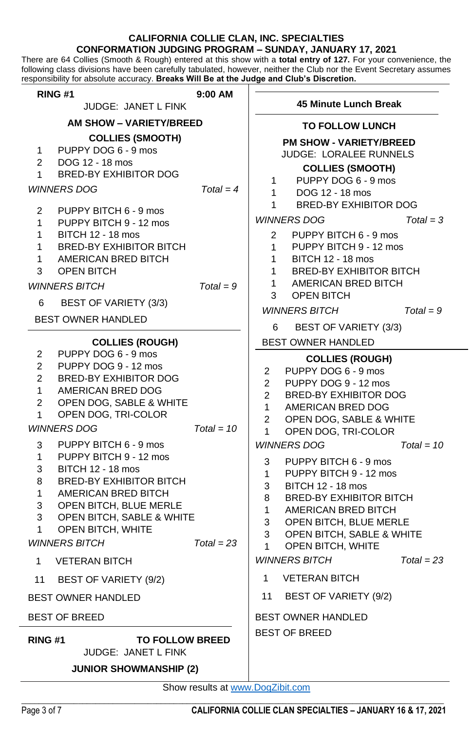#### **CALIFORNIA COLLIE CLAN, INC. SPECIALTIES CONFORMATION JUDGING PROGRAM – SUNDAY, JANUARY 17, 2021**

There are 64 Collies (Smooth & Rough) entered at this show with a **total entry of 127.** For your convenience, the following class divisions have been carefully tabulated, however, neither the Club nor the Event Secretary assumes responsibility for absolute accuracy. **Breaks Will Be at the Judge and Club's Discretion.**

| RING #1                                                                                                                                                                                                                                                                                                                                                                                                                                                                                                                           | 9:00 AM                      |                                                                                                                                                                  |                                                                                                                                                                                                                                                                                                                                                                                                                                              |                            |  |
|-----------------------------------------------------------------------------------------------------------------------------------------------------------------------------------------------------------------------------------------------------------------------------------------------------------------------------------------------------------------------------------------------------------------------------------------------------------------------------------------------------------------------------------|------------------------------|------------------------------------------------------------------------------------------------------------------------------------------------------------------|----------------------------------------------------------------------------------------------------------------------------------------------------------------------------------------------------------------------------------------------------------------------------------------------------------------------------------------------------------------------------------------------------------------------------------------------|----------------------------|--|
| JUDGE: JANET L FINK                                                                                                                                                                                                                                                                                                                                                                                                                                                                                                               |                              | 45 Minute Lunch Break                                                                                                                                            |                                                                                                                                                                                                                                                                                                                                                                                                                                              |                            |  |
| AM SHOW - VARIETY/BREED                                                                                                                                                                                                                                                                                                                                                                                                                                                                                                           |                              |                                                                                                                                                                  | <b>TO FOLLOW LUNCH</b>                                                                                                                                                                                                                                                                                                                                                                                                                       |                            |  |
| <b>COLLIES (SMOOTH)</b><br>PUPPY DOG 6 - 9 mos<br>$\mathbf{1}$<br>DOG 12 - 18 mos<br>2<br>BRED-BY EXHIBITOR DOG<br>1                                                                                                                                                                                                                                                                                                                                                                                                              |                              | $\mathbf{1}$                                                                                                                                                     | <b>PM SHOW - VARIETY/BREED</b><br>JUDGE: LORALEE RUNNELS<br><b>COLLIES (SMOOTH)</b><br>PUPPY DOG 6 - 9 mos                                                                                                                                                                                                                                                                                                                                   |                            |  |
| <b>WINNERS DOG</b>                                                                                                                                                                                                                                                                                                                                                                                                                                                                                                                | $Total = 4$                  | $\mathbf{1}$<br>1                                                                                                                                                | DOG 12 - 18 mos<br><b>BRED-BY EXHIBITOR DOG</b>                                                                                                                                                                                                                                                                                                                                                                                              |                            |  |
| PUPPY BITCH 6 - 9 mos<br>2<br>PUPPY BITCH 9 - 12 mos<br>1<br>1<br><b>BITCH 12 - 18 mos</b><br><b>BRED-BY EXHIBITOR BITCH</b><br>1<br>AMERICAN BRED BITCH<br>1<br>3<br><b>OPEN BITCH</b><br><b>WINNERS BITCH</b><br>BEST OF VARIETY (3/3)<br>6                                                                                                                                                                                                                                                                                     | $Total = 9$                  | $\overline{2}$<br>$\mathbf{1}$<br>$\mathbf{1}$<br>$\mathbf{1}$<br>$\mathbf{1}$<br>3                                                                              | <b>WINNERS DOG</b><br>PUPPY BITCH 6 - 9 mos<br>PUPPY BITCH 9 - 12 mos<br><b>BITCH 12 - 18 mos</b><br><b>BRED-BY EXHIBITOR BITCH</b><br>AMERICAN BRED BITCH<br>OPEN BITCH<br><b>WINNERS BITCH</b>                                                                                                                                                                                                                                             | $Total = 3$<br>$Total = 9$ |  |
| <b>BEST OWNER HANDLED</b>                                                                                                                                                                                                                                                                                                                                                                                                                                                                                                         |                              | 6                                                                                                                                                                | BEST OF VARIETY (3/3)                                                                                                                                                                                                                                                                                                                                                                                                                        |                            |  |
| <b>COLLIES (ROUGH)</b><br>PUPPY DOG 6 - 9 mos<br>$\overline{2}$<br>PUPPY DOG 9 - 12 mos<br>2<br><b>BRED-BY EXHIBITOR DOG</b><br>2<br>AMERICAN BRED DOG<br>1<br>OPEN DOG, SABLE & WHITE<br>2<br>OPEN DOG, TRI-COLOR<br>1<br><b>WINNERS DOG</b><br>PUPPY BITCH 6 - 9 mos<br>3<br>1<br>PUPPY BITCH 9 - 12 mos<br><b>BITCH 12 - 18 mos</b><br>3<br><b>BRED-BY EXHIBITOR BITCH</b><br>8<br>AMERICAN BRED BITCH<br>1<br>OPEN BITCH, BLUE MERLE<br>3<br>OPEN BITCH, SABLE & WHITE<br>3<br>OPEN BITCH, WHITE<br>1<br><b>WINNERS BITCH</b> | $Total = 10$<br>$Total = 23$ | 2<br>$\overline{2}$<br>$\overline{2}$<br>$\mathbf{1}$<br>$\overline{2}$<br>$\mathbf{1}$<br>3<br>$\mathbf{1}$<br>3<br>8<br>$\mathbf{1}$<br>3<br>3<br>$\mathbf{1}$ | BEST OWNER HANDLED<br><b>COLLIES (ROUGH)</b><br>PUPPY DOG 6 - 9 mos<br>PUPPY DOG 9 - 12 mos<br><b>BRED-BY EXHIBITOR DOG</b><br>AMERICAN BRED DOG<br>OPEN DOG, SABLE & WHITE<br>OPEN DOG, TRI-COLOR<br><b>WINNERS DOG</b><br>PUPPY BITCH 6 - 9 mos<br>PUPPY BITCH 9 - 12 mos<br><b>BITCH 12 - 18 mos</b><br><b>BRED-BY EXHIBITOR BITCH</b><br>AMERICAN BRED BITCH<br>OPEN BITCH, BLUE MERLE<br>OPEN BITCH, SABLE & WHITE<br>OPEN BITCH, WHITE | $Total = 10$               |  |
| 1<br><b>VETERAN BITCH</b>                                                                                                                                                                                                                                                                                                                                                                                                                                                                                                         |                              |                                                                                                                                                                  | <b>WINNERS BITCH</b>                                                                                                                                                                                                                                                                                                                                                                                                                         | $Total = 23$               |  |
| 11<br>BEST OF VARIETY (9/2)                                                                                                                                                                                                                                                                                                                                                                                                                                                                                                       |                              | $\mathbf{1}$                                                                                                                                                     | <b>VETERAN BITCH</b>                                                                                                                                                                                                                                                                                                                                                                                                                         |                            |  |
| <b>BEST OWNER HANDLED</b>                                                                                                                                                                                                                                                                                                                                                                                                                                                                                                         |                              | 11                                                                                                                                                               | <b>BEST OF VARIETY (9/2)</b>                                                                                                                                                                                                                                                                                                                                                                                                                 |                            |  |
| <b>BEST OF BREED</b>                                                                                                                                                                                                                                                                                                                                                                                                                                                                                                              |                              |                                                                                                                                                                  | <b>BEST OWNER HANDLED</b>                                                                                                                                                                                                                                                                                                                                                                                                                    |                            |  |
| <b>TO FOLLOW BREED</b><br><b>RING #1</b><br>JUDGE: JANET L FINK<br><b>JUNIOR SHOWMANSHIP (2)</b>                                                                                                                                                                                                                                                                                                                                                                                                                                  |                              |                                                                                                                                                                  | <b>BEST OF BREED</b>                                                                                                                                                                                                                                                                                                                                                                                                                         |                            |  |

 $\_$  ,  $\_$  ,  $\_$  ,  $\_$  ,  $\_$  ,  $\_$  ,  $\_$  ,  $\_$  ,  $\_$  ,  $\_$  ,  $\_$  ,  $\_$  ,  $\_$  ,  $\_$  ,  $\_$  ,  $\_$  ,  $\_$  ,  $\_$  ,  $\_$  ,  $\_$  ,  $\_$  ,  $\_$  ,  $\_$  ,  $\_$  ,  $\_$  ,  $\_$  ,  $\_$  ,  $\_$  ,  $\_$  ,  $\_$  ,  $\_$  ,  $\_$  ,  $\_$  ,  $\_$  ,  $\_$  ,  $\_$  ,  $\_$  , Show results a[t www.DogZibit.com](http://www.dogzibit.com/)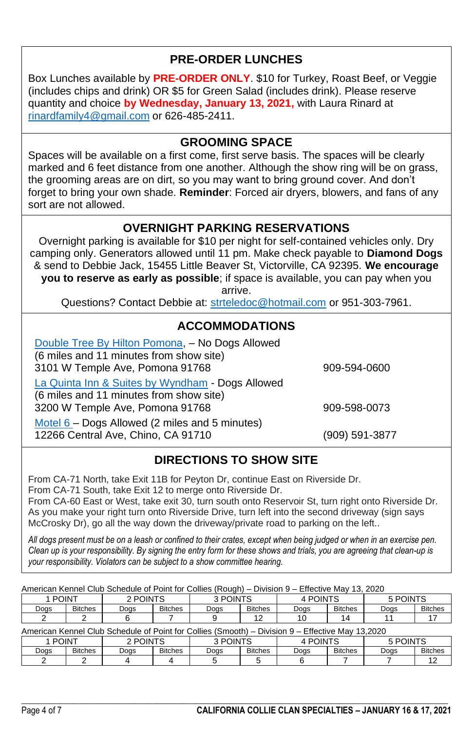## **PRE-ORDER LUNCHES**

Box Lunches available by **PRE-ORDER ONLY**. \$10 for Turkey, Roast Beef, or Veggie (includes chips and drink) OR \$5 for Green Salad (includes drink). Please reserve quantity and choice **by Wednesday, January 13, 2021,** with Laura Rinard at [rinardfamily4@gmail.com](mailto:rinardfamily4@gmail.com) or 626-485-2411.

### **GROOMING SPACE**

Spaces will be available on a first come, first serve basis. The spaces will be clearly marked and 6 feet distance from one another. Although the show ring will be on grass, the grooming areas are on dirt, so you may want to bring ground cover. And don't forget to bring your own shade. **Reminder**: Forced air dryers, blowers, and fans of any sort are not allowed.

### **OVERNIGHT PARKING RESERVATIONS**

Overnight parking is available for \$10 per night for self-contained vehicles only. Dry camping only. Generators allowed until 11 pm. Make check payable to **Diamond Dogs** & send to Debbie Jack, 15455 Little Beaver St, Victorville, CA 92395. **We encourage you to reserve as early as possible**; if space is available, you can pay when you arrive.

Questions? Contact Debbie at: [strteledoc@hotmail.com](mailto:strteledoc@hotmail.com) or 951-303-7961.

### **ACCOMMODATIONS**

| Double Tree By Hilton Pomona, - No Dogs Allowed<br>(6 miles and 11 minutes from show site)<br>3101 W Temple Ave, Pomona 91768  | 909-594-0600   |
|--------------------------------------------------------------------------------------------------------------------------------|----------------|
| La Quinta Inn & Suites by Wyndham - Dogs Allowed<br>(6 miles and 11 minutes from show site)<br>3200 W Temple Ave, Pomona 91768 | 909-598-0073   |
| Motel $6$ – Dogs Allowed (2 miles and 5 minutes)<br>12266 Central Ave, Chino, CA 91710                                         | (909) 591-3877 |

### **DIRECTIONS TO SHOW SITE**

From CA-71 North, take Exit 11B for Peyton Dr, continue East on Riverside Dr. From CA-71 South, take Exit 12 to merge onto Riverside Dr.

From CA-60 East or West, take exit 30, turn south onto Reservoir St, turn right onto Riverside Dr. As you make your right turn onto Riverside Drive, turn left into the second driveway (sign says McCrosky Dr), go all the way down the driveway/private road to parking on the left..

*All dogs present must be on a leash or confined to their crates, except when being judged or when in an exercise pen. Clean up is your responsibility. By signing the entry form for these shows and trials, you are agreeing that clean-up is your responsibility. Violators can be subject to a show committee hearing.*

| American Kennel Club Schedule of Point for Collies (Rough) – Division 9 – Effective May 13, 2020 |                                 |          |                |          |                |          |                |          |                |
|--------------------------------------------------------------------------------------------------|---------------------------------|----------|----------------|----------|----------------|----------|----------------|----------|----------------|
| 1 POINT                                                                                          |                                 | 2 POINTS |                | 3 POINTS |                | 4 POINTS |                | 5 POINTS |                |
| Doas                                                                                             | <b>Bitches</b>                  | Doas     | <b>Bitches</b> | Doas     | <b>Bitches</b> | Dogs     | <b>Bitches</b> | Dogs     | <b>Bitches</b> |
|                                                                                                  |                                 |          |                |          | 12             | 10       | 14             |          |                |
| American Kennel Club Schedule of Point for Collies (Smooth) – Division 9 – Effective May 13,2020 |                                 |          |                |          |                |          |                |          |                |
|                                                                                                  | 3 POINTS<br>2 POINTS<br>1 POINT |          | 4 POINTS       |          | 5 POINTS       |          |                |          |                |
| Dogs                                                                                             | <b>Bitches</b>                  | Dogs     | <b>Bitches</b> | Doas     | <b>Bitches</b> | Doas     | <b>Bitches</b> | Dogs     | <b>Bitches</b> |
|                                                                                                  |                                 |          |                |          |                |          |                |          | 12             |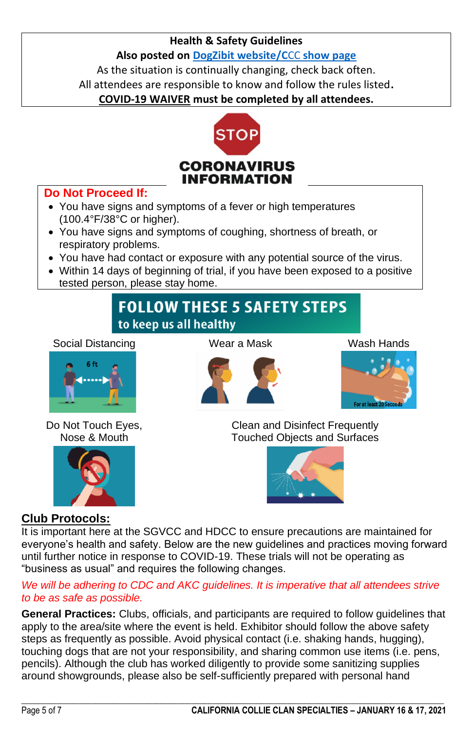#### **Health & Safety Guidelines**

**Also posted o[n DogZibit website/C](https://dogzibit.com/project/2021-ccc/)**CC **show page**

As the situation is continually changing, check back often. All attendees are responsible to know and follow the rules listed**.**

**COVID-19 WAIVER must be completed by all attendees.**



#### **Do Not Proceed If:**

- You have signs and symptoms of a fever or high temperatures (100.4°F/38°C or higher).
- You have signs and symptoms of coughing, shortness of breath, or respiratory problems.
- You have had contact or exposure with any potential source of the virus.
- Within 14 days of beginning of trial, if you have been exposed to a positive tested person, please stay home.

# **FOLLOW THESE 5 SAFETY STEPS** to keep us all healthy

Social Distancing Wear a Mask Wash Hands



Do Not Touch Eyes, Nose & Mouth







Clean and Disinfect Frequently Touched Objects and Surfaces



### **Club Protocols:**

It is important here at the SGVCC and HDCC to ensure precautions are maintained for everyone's health and safety. Below are the new guidelines and practices moving forward until further notice in response to COVID-19. These trials will not be operating as "business as usual" and requires the following changes.

#### *We will be adhering to CDC and AKC guidelines. It is imperative that all attendees strive to be as safe as possible.*

**General Practices:** Clubs, officials, and participants are required to follow guidelines that apply to the area/site where the event is held. Exhibitor should follow the above safety steps as frequently as possible. Avoid physical contact (i.e. shaking hands, hugging), touching dogs that are not your responsibility, and sharing common use items (i.e. pens, pencils). Although the club has worked diligently to provide some sanitizing supplies around showgrounds, please also be self-sufficiently prepared with personal hand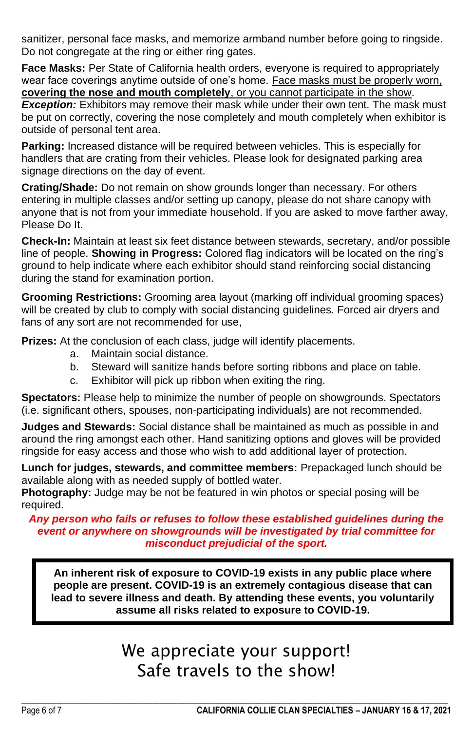sanitizer, personal face masks, and memorize armband number before going to ringside. Do not congregate at the ring or either ring gates.

**Face Masks:** Per State of California health orders, everyone is required to appropriately wear face coverings anytime outside of one's home. Face masks must be properly worn, **covering the nose and mouth completely**, or you cannot participate in the show. **Exception:** Exhibitors may remove their mask while under their own tent. The mask must be put on correctly, covering the nose completely and mouth completely when exhibitor is outside of personal tent area.

**Parking:** Increased distance will be required between vehicles. This is especially for handlers that are crating from their vehicles. Please look for designated parking area signage directions on the day of event.

**Crating/Shade:** Do not remain on show grounds longer than necessary. For others entering in multiple classes and/or setting up canopy, please do not share canopy with anyone that is not from your immediate household. If you are asked to move farther away, Please Do It.

**Check-In:** Maintain at least six feet distance between stewards, secretary, and/or possible line of people. **Showing in Progress:** Colored flag indicators will be located on the ring's ground to help indicate where each exhibitor should stand reinforcing social distancing during the stand for examination portion.

**Grooming Restrictions:** Grooming area layout (marking off individual grooming spaces) will be created by club to comply with social distancing guidelines. Forced air dryers and fans of any sort are not recommended for use,

**Prizes:** At the conclusion of each class, judge will identify placements.

- a. Maintain social distance.
- b. Steward will sanitize hands before sorting ribbons and place on table.
- c. Exhibitor will pick up ribbon when exiting the ring.

**Spectators:** Please help to minimize the number of people on showgrounds. Spectators (i.e. significant others, spouses, non-participating individuals) are not recommended.

**Judges and Stewards:** Social distance shall be maintained as much as possible in and around the ring amongst each other. Hand sanitizing options and gloves will be provided ringside for easy access and those who wish to add additional layer of protection.

**Lunch for judges, stewards, and committee members:** Prepackaged lunch should be available along with as needed supply of bottled water.

**Photography:** Judge may be not be featured in win photos or special posing will be required.

#### *Any person who fails or refuses to follow these established guidelines during the event or anywhere on showgrounds will be investigated by trial committee for misconduct prejudicial of the sport.*

**An inherent risk of exposure to COVID-19 exists in any public place where people are present. COVID-19 is an extremely contagious disease that can lead to severe illness and death. By attending these events, you voluntarily assume all risks related to exposure to COVID-19.**

# We appreciate your support! Safe travels to the show!